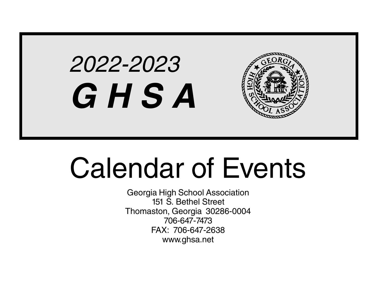# 2022-2023 **G H S A**



# Calendar of Events

Georgia High School Association 151 S. Bethel Street Thomaston, Georgia 30286-0004 706-647-7473 FAX: 706-647-2638 www.ghsa.net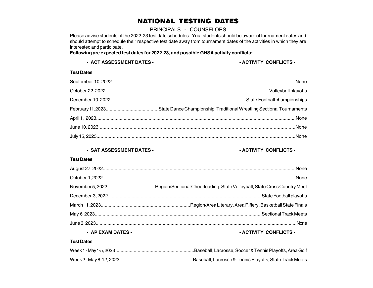#### NATIONAL TESTING DATES

#### PRINCIPALS - COUNSELORS

Please advise students of the 2022-23 test date schedules. Your students should be aware of tournament dates and should attempt to schedule their respective test date away from tournament dates of the activities in which they are interested and participate.

#### **Following are expected test dates for 2022-23, and possible GHSA activity conflicts:**

#### - ACT ASSESSMENT DATES - **ACTIVITY CONFLICTS** -

#### **Test Dates**

#### - SAT ASSESSMENT DATES - **ACTIVITY CONFLICTS** -

#### **Test Dates**

| __________________ |  |
|--------------------|--|

#### **- AP EXAM DATES - - ACTIVITY CONFLICTS -**

#### **Test Dates**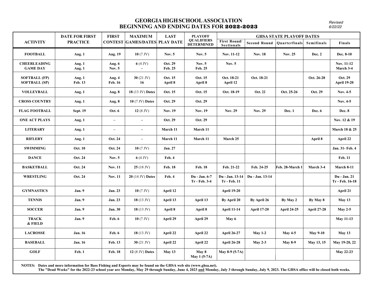#### **GEORGIA HIGH SCHOOL ASSOCIATION BEGINNING AND ENDING DATES FOR** 2022-2023

Revised 6/22/22

|                                              | <b>DATE FOR FIRST</b> | <b>FIRST</b>             | <b>MAXIMUM</b>                       | <b>LAST</b>        | <b>PLAYOFF</b>                         |                                        |                     | <b>GHSA STATE PLAYOFF DATES</b> |                    |                                 |
|----------------------------------------------|-----------------------|--------------------------|--------------------------------------|--------------------|----------------------------------------|----------------------------------------|---------------------|---------------------------------|--------------------|---------------------------------|
| <b>ACTIVITY</b>                              | <b>PRACTICE</b>       |                          | <b>CONTEST GAMES/DATES PLAY DATE</b> |                    | <b>QUALIFIERS</b><br><b>DETERMINED</b> | <b>First Round/</b><br>Sectionals      | <b>Second Round</b> | Quarterfinals                   | Semifinals         | Finals                          |
| <b>FOOTBALL</b>                              | Aug. 1                | Aug. 19                  | $10(7 \text{ JV})$                   | Nov. $5$           | Nov. $5$                               | Nov. 11-12                             | <b>Nov. 18</b>      | <b>Nov. 25</b>                  | <b>Dec. 2</b>      | Dec. 8-10                       |
| <b>CHEERLEADING</b><br><b>GAME DAY</b>       | Aug. $1$<br>Aug. $1$  | Aug. 6<br>Nov. $5$       | 6 $(4 \text{ JV})$                   | Oct. 29<br>Feb. 25 | Nov. $5$<br>Feb. 25                    | Nov. $5$                               |                     |                                 |                    | Nov. 11-12<br>March 3-4         |
| <b>SOFTBALL (FP)</b><br><b>SOFTBALL (SP)</b> | Aug. 1<br>Feb. 13     | Aug. 4<br><b>Feb. 16</b> | $30(21$ JV)<br>16                    | Oct. 15<br>April 8 | Oct. 15<br>April 8                     | Oct. 18-21<br>April 12                 | Oct. 18-21          |                                 | Oct. 26-28         | Oct. 29<br><b>April 19-20</b>   |
| <b>VOLLEYBALL</b>                            | Aug. $1$              | Aug. 8                   | 18 (13 JV) Dates                     | Oct. 15            | Oct. 15                                | Oct. 18-19                             | Oct. 22             | Oct. 25-26                      | Oct. 29            | Nov. 4-5                        |
| <b>CROSS COUNTRY</b>                         | Aug. $1$              | Aug. 8                   | <b>10 (7 JV) Dates</b>               | Oct. 29            | Oct. 29                                |                                        |                     |                                 |                    | Nov. 4-5                        |
| <b>FLAG FOOTBALL</b>                         | <b>Sept. 19</b>       | Oct. 6                   | 12 $(8 \text{ JV})$                  | <b>Nov. 19</b>     | <b>Nov. 19</b>                         | <b>Nov. 29</b>                         | <b>Nov. 29</b>      | Dec. 1                          | Dec. 6             | <b>Dec. 8</b>                   |
| <b>ONE ACT PLAYS</b>                         | Aug. 1                | $\overline{\phantom{0}}$ | $\overline{\phantom{m}}$             | Oct. 29            | Oct. 29                                |                                        |                     |                                 |                    | Nov. 12 & 19                    |
| <b>LITERARY</b>                              | Aug. $1$              | $\qquad \qquad -$        | $\qquad \qquad -$                    | March 11           | March 11                               |                                        |                     |                                 |                    | March 18 & 25                   |
| <b>RIFLERY</b>                               | Aug. $1$              | Oct. 24                  | $\overline{\phantom{a}}$             | March 11           | March 11                               | March 25                               |                     |                                 | April 8            | April 22                        |
| <b>SWIMMING</b>                              | <b>Oct. 10</b>        | Oct. 24                  | $10(7 \text{ JV})$                   | <b>Jan. 27</b>     |                                        |                                        |                     |                                 |                    | Jan. 31- Feb. 4                 |
| <b>DANCE</b>                                 | Oct. 24               | Nov. $5$                 | 6 $(4 \text{ JV})$                   | Feb. 4             |                                        |                                        |                     |                                 |                    | <b>Feb. 11</b>                  |
| <b>BASKETBALL</b>                            | Oct. 24               | <b>Nov. 11</b>           | $25(18 \text{ JV})$                  | Feb. 18            | <b>Feb. 18</b>                         | Feb. 21-22                             | Feb. 24-25          | Feb. 28-March 1                 | March 3-4          | March 8-11                      |
| <b>WRESTLING</b>                             | Oct. 24               | <b>Nov. 11</b>           | $20(14$ JV) Dates                    | Feb. 4             | Du - Jan. 6-7<br>Tr - Feb. 3-4         | Du - Jan. 13-14<br><b>Tr</b> - Feb. 11 | Du - Jan. 13-14     |                                 |                    | Du - Jan. 21<br>Tr - Feb. 16-18 |
| <b>GYMNASTICS</b>                            | Jan. 9                | Jan. 23                  | $10(7 \text{ JV})$                   | April 12           |                                        | <b>April 19-20</b>                     |                     |                                 |                    | April 21                        |
| <b>TENNIS</b>                                | Jan. 9                | Jan. 23                  | 18 $(13 \text{ JV})$                 | April 13           | April 13                               | By April 20                            | By April 26         | By May 2                        | By May 8           | May $13$                        |
| <b>SOCCER</b>                                | Jan. 9                | Jan. 30                  | 18 $(13 \text{ JV})$                 | April 8            | April 8                                | <b>April 11-14</b>                     | <b>April 17-20</b>  | <b>April 24-25</b>              | <b>April 27-28</b> | May $2-5$                       |
| <b>TRACK</b><br>& FIELD                      | Jan. 9                | Feb. 6                   | 10 $(7 \text{ JV})$                  | April 29           | April 29                               | May 6                                  |                     |                                 |                    | <b>May 11-13</b>                |
| <b>LACROSSE</b>                              | <b>Jan. 16</b>        | Feb. 6                   | 18 $(13 \text{ JV})$                 | April 22           | April 22                               | <b>April 26-27</b>                     | $May 1-2$           | <b>May 4-5</b>                  | <b>May 9-10</b>    | May 13                          |
| <b>BASEBALL</b>                              | <b>Jan. 16</b>        | Feb. 13                  | $30(21$ JV)                          | April 22           | April 22                               | <b>April 26-28</b>                     | May 2-3             | <b>May 8-9</b>                  | May 13, 15         | May 19-20, 22                   |
| <b>GOLF</b>                                  | Feb. 1                | Feb. 18                  | 12 (8 JV) Dates                      | May 13             | May 8<br>May 1 (5-7A)                  | May 8-9 (5-7A)                         |                     |                                 |                    | May 22-23                       |

 **NOTES: Dates and more information for Bass Fishing and Esports may be found on the GHSA web site (www.ghsa.net).**

 **The "Dead Weeks" for the 2022-23 school year are Monday, May 29 through Sunday, June 4, 2023 and Monday, July 3 through Sunday, July 9, 2023. The GHSA office will be closed both weeks.**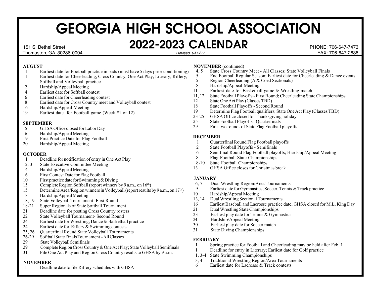#### 151 S. Bethel Street **2022-2023 CALENDAR** PHONE: 706-647-7473

#### **AUGUST**

- 1 Earliest date for Football practice in pads (must have 5 days prior conditioning)
- 1 Earliest date for Cheerleading, Cross Country, One Act Play, Literary, Riflery, Softball and Volleyball practice
- 2 Hardship/Appeal Meeting
- 4 Earliest date for Softball contest<br>6 Earliest date for Cheerleading co
- 6 Earliest date for Cheerleading contest
- 8 Earliest date for Cross Country meet and Volleyball contest
- Hardship/Appeal Meeting
- 19 Earliest date for Football game (Week #1 of 12)

#### **SEPTEMBER**

- 5 GHSA Office closed for Labor Day<br>6 Hardship/Appeal Meeting
- 6 Hardship/Appeal Meeting<br>19 First Practice Date for Flag
- 19 First Practice Date for Flag Football<br>20 Hardship/Appeal Meeting
- Hardship/Appeal Meeting

#### **OCTOBER**

- 1 Deadline for notification of entry in One Act Play
- 2, 3 State Executive Committee Meeting
- 4 Hardship/Appeal Meeting
- 6 First Contest Date for Flag Football
- 10 First practice date for Swimming & Diving<br>15 Complete Region Softball (report winners)
- 15 Complete Region Softball (report winners by 9 a.m., on 16<sup>th</sup>)<br>15 Determine Area/Region winners in Volleyball (report results)
- Determine Area/Region winners in Volleyball (report results by 9 a.m., on 17<sup>th</sup>)
- 18 Hardship/Appeal Meeting
- 18, 19 State Volleyball Tournament- First Round
- 18-21 Super Regionals of State Softball Tournament<br>21 Deadline date for posting Cross Country rosters
- 21 Deadline date for posting Cross Country rosters<br>22 State Volleyball Tournament- Second Round
- State Volleyball Tournament- Second Round
- 24 Earliest date for Wrestling, Dance & Basketball practice
- 24 Earliest date for Riflery  $\&$  Swimming contests
- 25, 26 Quarterfinal Round State Volleyball Tournaments
- 26-29 Softball State Finals Tournament All Classes
- 29 State Volleyball Semifinals<br>29 Complete Region Cross Cou
- Complete Region Cross Country & One Act Play; State Volleyball Semifinals
- 31 File One Act Play and Region Cross Country results to GHSA by 9 a.m.

#### **NOVEMBER**

1 Deadline date to file Riflery schedules with GHSA

#### **NOVEMBER** (continued)<br>4.5 State Cross Counti

- 4, 5 State Cross Country Meet All Classes; State Volleyball Finals<br>5 Find Football Regular Season: Earliest date for Cheerleading & 1
- 5 End Football Regular Season; Earliest date for Cheerleading & Dance events<br>5 Region Cheerleading (A & Coed Sectionals)
- 5 Region Cheerleading (A & Coed Sectionals)<br>8 Hardship/Appeal Meeting
- 8 Hardship/Appeal Meeting<br>11 Earliest date for Basketbal
- Earliest date for Basketball game & Wrestling match
- 11, 12 State Football Playoffs First Round; Cheerleading State Championships
- 12 State One Act Play (Classes TBD)
- 18 State Football Playoffs Second Round
- 19 Determine Flag Football qualifiers; State One Act Play (Classes TBD)<br>23-25 GHSA Office closed for Thanksgiving holiday
- 23-25 GHSA Office closed for Thanksgiving holiday<br>25 State Football Playoffs Ouarterfinals
- State Football Playoffs Quarterfinals
- 29 First two rounds of State Flag Football playoffs

#### **DECEMBER**

- 1 Quarterfinal Round Flag Football playoffs
- 2 State Football Playoffs Semifinals<br>6 Semifinal Round Flag Football play
- 6 Semifinal Round Flag Football playoffs; Hardship/Appeal Meeting
- 8 Flag Football State Championships
- 8-10 State Football Championships
- 13 GHSA Office closes for Christmas break

#### **JANUARY**

- 6, 7 Dual Wrestling Region/Area Tournaments
- 9 Earliest date for Gymnastics, Soccer, Tennis & Track practice
- 10 Hardship/Appeal Meeting<br>13.14 Dual Wrestling Sectional T
- Dual Wrestling Sectional Tournaments
- 16 Earliest Baseball and Lacrosse practice date; GHSA closed for M.L. King Day
- 21 Dual Wrestling State Championships
- 23 Earliest play date for Tennis & Gymnastics<br>
24 Hardship/Appeal Meeting
- 24 Hardship/Appeal Meeting<br>30 Earliest play date for Socce
- Earliest play date for Soccer match
- 31 State Diving Championships

#### **FEBRUARY**

- 1 Spring practice for Football and Cheerleading may be held after Feb. 1
- 1 Deadline for entry in Literary; Earliest date for Golf practice
- 1, 3-4 State Swimming Championships
- 3, 4 Traditional Wrestling Region/Area Tournaments<br>6 Farliest date for Lacrosse & Track contests
- Earliest date for Lacrosse & Track contests

Thomaston, GA 30286-0004 FAX: 706-647-2638 Revised 6/22/22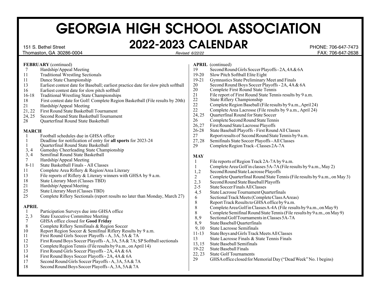#### 151 S. Bethel Street **2022-2023 CALENDAR** PHONE: 706-647-7473 Revised 6/22/22

#### Thomaston, GA 30286-0004 FAX: 706-647-2638

|                | FEBRUARY (continued)                                                                                             |                | <b>APRIL</b> (continued)                                                    |
|----------------|------------------------------------------------------------------------------------------------------------------|----------------|-----------------------------------------------------------------------------|
| 7              | Hardship/Appeal Meeting                                                                                          | 19             | Second Round Girls Soccer Playoffs - 2A, 4A & 6A                            |
| 11             | <b>Traditional Wrestling Sectionals</b>                                                                          | $19 - 20$      | Slow Pitch Softball Elite Eight                                             |
| 11             | Dance State Championship                                                                                         | $19 - 21$      | Gymnastics State Preliminary Meet and Finals                                |
| 13             | Earliest contest date for Baseball; earliest practice date for slow pitch softball                               | $20\,$         | Second Round Boys Soccer Playoffs - 2A, 4A & 6A                             |
| 16             | Earliest contest date for slow pitch softball                                                                    | 20             | Complete First Round State Tennis                                           |
| $16-18$        | <b>Traditional Wrestling State Championships</b>                                                                 | 21             | File report of First Round State Tennis results by 9 a.m.                   |
| 18             | First contest date for Golf: Complete Region Basketball (File results by 20th)                                   | 22             | State Riflery Championship                                                  |
| 21             | Hardship/Appeal Meeting                                                                                          | 22             | Complete Region Baseball (File results by 9 a.m., April 24)                 |
| 21, 22         | First Round State Basketball Tournament                                                                          | 22             | Complete Area Lacrosse (File results by 9 a.m., April 24)                   |
| 24, 25         | Second Round State Basketball Tournament                                                                         | 24, 25         | Quarterfinal Round for State Soccer                                         |
| 28             | Quarterfinal Round State Basketball                                                                              | 26             | Complete Second Round State Tennis                                          |
|                |                                                                                                                  | 26,27          | First Round State Lacrosse Playoffs                                         |
| <b>MARCH</b>   |                                                                                                                  | $26 - 28$      | State Baseball Playoffs - First Round All Classes                           |
| -1             | Football schedules due in GHSA office                                                                            | 27             | Report results of Second Round State Tennis by 9 a.m.                       |
| 1              | Deadline for notification of entry for all sports for 2023-24                                                    | 27,28          | Semifinals State Soccer Playoffs - All Classes                              |
| 1              | Quarterfinal Round State Basketball                                                                              | 29             | Complete Region Track - Classes 2A-7A                                       |
| 3, 4           | Gameday Cheerleading State Championship                                                                          |                |                                                                             |
| 3, 4           | Semifinal Round State Basketball                                                                                 | <b>MAY</b>     |                                                                             |
| $\tau$         | Hardship/Appeal Meeting                                                                                          | 1              | File reports of Region Track 2A-7A by 9 a.m.                                |
| $8 - 11$       | State Basketball Finals - All Classes                                                                            | 1              | Complete Area Golf in classes 5A-7A (File results by 9 a.m., May 2)         |
| 11             | Complete Area Riflery & Region/Area Literary                                                                     | 1,2            | Second Round State Lacrosse Playoffs                                        |
| 13             | File reports of Riflery & Literary winners with GHSA by 9 a.m.                                                   | $\overline{2}$ | Complete Quarterfinal Round State Tennis (File results by 9 a.m., on May 3) |
| 18             | State Literary Meet (Classes TBD)                                                                                | 2,3            | Second Round State Baseball Playoffs                                        |
| 21             | Hardship/Appeal Meeting                                                                                          | $2 - 5$        | <b>State Soccer Finals All Classes</b>                                      |
| 25             | State Literary Meet (Classes TBD)                                                                                | 4, 5           | State Lacrosse Tournament Quarterfinals                                     |
| 25             | Complete Riflery Sectionals (report results no later than Monday, March 27)                                      | 6              | Sectional Track Meets (Complete Class AAreas)                               |
|                |                                                                                                                  | $\,$ 8 $\,$    | Report Track Results to GHSA office by 9 a.m.                               |
| <b>APRIL</b>   |                                                                                                                  | $\,8\,$        | Complete Area Golf in Classes A-4A (File results by 9 a.m., on May 9)       |
| 1              | Participation Surveys due into GHSA office                                                                       | $\,8\,$        | Complete Semifinal Round State Tennis (File results by 9 a.m., on May 9)    |
| 2, 3           | <b>State Executive Committee Meeting</b>                                                                         | 8,9            | Sectional Golf Tournaments in Classes 5A-7A                                 |
| $\overline{7}$ | GHSA office closed for Good Friday                                                                               | 8,9            | State Baseball Quarterfinals                                                |
| $\,8\,$        | Complete Riflery Semifinals & Region Soccer                                                                      | 9,10           | <b>State Lacrosse Semifinals</b>                                            |
| 10<br>11       | Report Region Soccer & Semifinal Riflery Results by 9 a.m.<br>First Round Girls Soccer Playoffs - A, 3A, 5A & 7A | $11 - 13$      | State Boys and Girls Track Meets All Classes                                |
| 12             | First Round Boys Soccer Playoffs - A, 3A, 5A & 7A; SP Softball sectionals                                        | 13             | State Lacrosse Finals & State Tennis Finals                                 |
| 13             | Complete Region Tennis (File results by 9 a.m., on April 14)                                                     | 13, 15         | <b>State Baseball Semifinals</b>                                            |
| 13             | First Round Girls Soccer Playoffs - 2A, 4A & 6A                                                                  | $19-22$        | <b>State Baseball Finals</b>                                                |
| 14             |                                                                                                                  | 22, 23         | <b>State Golf Tournaments</b>                                               |
| 17             | First Round Boys Soccer Playoffs - 2A, 4A & 6A                                                                   | 29             | GHSA office closed for Memorial Day ("Dead Week" No. 1 begins)              |
| 18             | Second Round Girls Soccer Playoffs - A, 3A, 5A & 7A<br>Second Round Boys Soccer Playoffs - A, 3A, 5A & 7A        |                |                                                                             |
|                |                                                                                                                  |                |                                                                             |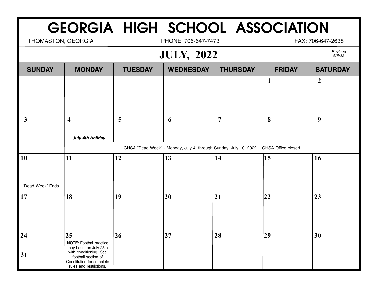THOMASTON, GEORGIA **PHONE: 706-647-7473** FAX: 706-647-2638

### **JULY, 2022**

|                  | $   \prime$<br>$- - - -$                                                    |                |                  |                                                                                        |                  |                 |  |
|------------------|-----------------------------------------------------------------------------|----------------|------------------|----------------------------------------------------------------------------------------|------------------|-----------------|--|
| <b>SUNDAY</b>    | <b>MONDAY</b>                                                               | <b>TUESDAY</b> | <b>WEDNESDAY</b> | <b>THURSDAY</b>                                                                        | <b>FRIDAY</b>    | <b>SATURDAY</b> |  |
|                  |                                                                             |                |                  |                                                                                        | $\mathbf{1}$     | $\overline{2}$  |  |
|                  |                                                                             |                |                  |                                                                                        |                  |                 |  |
|                  |                                                                             |                |                  |                                                                                        |                  |                 |  |
| $\mathbf{3}$     | $\overline{\mathbf{4}}$                                                     | $\overline{5}$ | 6                | $\overline{7}$                                                                         | 8                | 9               |  |
|                  |                                                                             |                |                  |                                                                                        |                  |                 |  |
|                  | <b>July 4th Holiday</b>                                                     |                |                  |                                                                                        |                  |                 |  |
|                  |                                                                             |                |                  | GHSA "Dead Week" - Monday, July 4, through Sunday, July 10, 2022 - GHSA Office closed. |                  |                 |  |
| 10               | 11                                                                          | 12             | $\vert$ 13       | 14                                                                                     | $\vert 15 \vert$ | 16              |  |
|                  |                                                                             |                |                  |                                                                                        |                  |                 |  |
| "Dead Week" Ends |                                                                             |                |                  |                                                                                        |                  |                 |  |
|                  |                                                                             |                |                  |                                                                                        |                  |                 |  |
| 17               | 18                                                                          | 19             | 20               | 21                                                                                     | 22               | 23              |  |
|                  |                                                                             |                |                  |                                                                                        |                  |                 |  |
|                  |                                                                             |                |                  |                                                                                        |                  |                 |  |
| 24               | 25                                                                          | 26             | 27               | 28                                                                                     | 29               | 30              |  |
|                  | <b>NOTE:</b> Football practice                                              |                |                  |                                                                                        |                  |                 |  |
| 31               | may begin on July 25th<br>with conditioning. See                            |                |                  |                                                                                        |                  |                 |  |
|                  | football section of<br>Constitution for complete<br>rules and restrictions. |                |                  |                                                                                        |                  |                 |  |
|                  |                                                                             |                |                  |                                                                                        |                  |                 |  |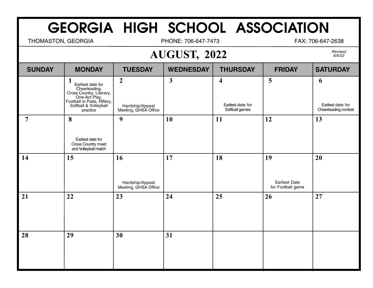THOMASTON, GEORGIA **PHONE: 706-647-7473** FAX: 706-647-2638

## **AUGUST, 2022**

| <b>SUNDAY</b>  | <b>MONDAY</b>                                                                                                                                           | <b>TUESDAY</b>                                              | <b>WEDNESDAY</b> | <b>THURSDAY</b>                                                | <b>FRIDAY</b>                                   | <b>SATURDAY</b>                                |
|----------------|---------------------------------------------------------------------------------------------------------------------------------------------------------|-------------------------------------------------------------|------------------|----------------------------------------------------------------|-------------------------------------------------|------------------------------------------------|
|                | 1<br>Earliest date for<br>Cheerleading,<br>Cross Country, Literary,<br>One-Act Play,<br>Football in Pads, Riflery,<br>Softball & Volleyball<br>practice | $\boldsymbol{2}$<br>Hardship/Appeal<br>Meeting, GHSA Office | $\mathbf{3}$     | $\overline{\mathbf{4}}$<br>Earliest date for<br>Softball games | 5                                               | 6<br>Earliest date for<br>Cheerleading contest |
| $\overline{7}$ | 8<br>Earliest date for<br>Cross Country meet<br>and Volleyball match                                                                                    | 9                                                           | 10               | 11                                                             | 12                                              | 13                                             |
| 14             | 15                                                                                                                                                      | 16<br>Hardship/Appeal<br>Meeting, GHSA Office               | 17               | 18                                                             | 19<br><b>Earliest Date</b><br>for Football game | 20                                             |
| 21             | 22                                                                                                                                                      | 23                                                          | 24               | 25                                                             | 26                                              | 27                                             |
| 28             | 29                                                                                                                                                      | 30                                                          | 31               |                                                                |                                                 |                                                |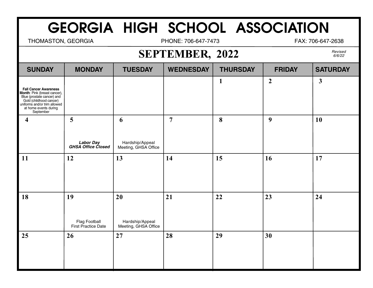THOMASTON, GEORGIA **PHONE: 706-647-7473** FAX: 706-647-2638

### **SEPTEMBER, 2022**

| <b>SUNDAY</b>                                                                                                                                                                                      | <b>MONDAY</b>                                     | <b>TUESDAY</b>                                | <b>WEDNESDAY</b> | <b>THURSDAY</b> | <b>FRIDAY</b>  | <b>SATURDAY</b> |
|----------------------------------------------------------------------------------------------------------------------------------------------------------------------------------------------------|---------------------------------------------------|-----------------------------------------------|------------------|-----------------|----------------|-----------------|
| <b>Fall Cancer Awareness</b><br><b>Month:</b> Pink (breast cancer),<br>Blue (prostate cancer) and<br>Gold (childhood cancer)<br>uniforms and/or trim allowed<br>at home events during<br>September |                                                   |                                               |                  | $\mathbf{1}$    | $\overline{2}$ | $\mathbf{3}$    |
| $\overline{\mathbf{4}}$                                                                                                                                                                            | $\overline{5}$<br>Labor Day<br>GHSA Office Closed | 6<br>Hardship/Appeal<br>Meeting, GHSA Office  | $\overline{7}$   | 8               | 9              | 10              |
| 11                                                                                                                                                                                                 | 12                                                | 13                                            | 14               | 15              | 16             | 17              |
| 18                                                                                                                                                                                                 | 19<br>Flag Football<br>First Practice Date        | 20<br>Hardship/Appeal<br>Meeting, GHSA Office | 21               | 22              | 23             | 24              |
| 25                                                                                                                                                                                                 | 26                                                | 27                                            | 28               | 29              | 30             |                 |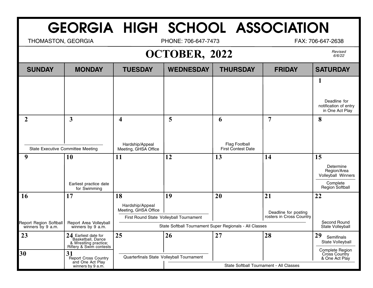THOMASTON, GEORGIA **PHONE: 706-647-7473** FAX: 706-647-2638

## **OCTOBER, 2022**

| <b>SUNDAY</b>                                       | <b>MONDAY</b>                                                                                 | <b>TUESDAY</b>                                                                           | <b>WEDNESDAY</b>                                        | <b>THURSDAY</b>                          | <b>FRIDAY</b>                                          | <b>SATURDAY</b>                                                                     |
|-----------------------------------------------------|-----------------------------------------------------------------------------------------------|------------------------------------------------------------------------------------------|---------------------------------------------------------|------------------------------------------|--------------------------------------------------------|-------------------------------------------------------------------------------------|
|                                                     |                                                                                               |                                                                                          |                                                         |                                          |                                                        | 1<br>Deadline for<br>notification of entry<br>in One Act Play                       |
| $\overline{2}$<br>State Executive Committee Meeting | 3                                                                                             | $\overline{\mathbf{4}}$<br>Hardship/Appeal<br>Meeting, GHSA Office                       | 5                                                       | 6<br>Flag Football<br>First Contest Date | $\overline{7}$                                         | 8                                                                                   |
| 9                                                   | <b>10</b><br>Earliest practice date<br>for Swimming                                           | 11                                                                                       | 12                                                      | 13                                       | 14                                                     | 15<br>Determine<br>Region/Area<br>Volleyball Winners<br>Complete<br>Region Softball |
| 16                                                  | 17                                                                                            | 18<br>Hardship/Appeal<br>Meeting, GHSA Office<br>First Round State Volleyball Tournament | 19                                                      | 20                                       | 21<br>Deadline for posting<br>rosters in Cross Country | 22                                                                                  |
| Report Region Softball<br>winners by 9 a.m.         | Report Area Volleyball<br>winners by 9 a.m.                                                   |                                                                                          | State Softball Tournament Super Regionals - All Classes |                                          |                                                        | Second Round<br>State Volleyball                                                    |
| 23                                                  | 24 Earliest date for<br>Basketball, Dance<br>& Wrestling practice;<br>Riflery & Swim contests | 25                                                                                       | 26                                                      | 27                                       | 28                                                     | 29<br>Semifinals<br>State Volleyball                                                |
| 30                                                  | 31<br>Report Cross Country                                                                    | Quarterfinals State Volleyball Tournament                                                |                                                         |                                          |                                                        | Complete Region<br>Cross Country<br>& One Act Play                                  |
|                                                     | and One Act Play<br>winners by 9 a.m.                                                         |                                                                                          |                                                         | State Softball Tournament - All Classes  |                                                        |                                                                                     |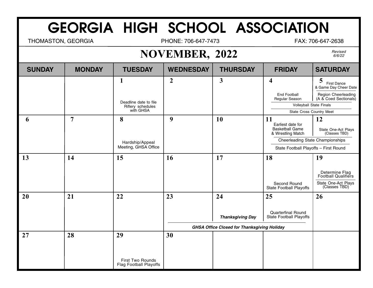THOMASTON, GEORGIA **PHONE: 706-647-7473** FAX: 706-647-2638

## **NOVEMBER, 2022**

| <b>SUNDAY</b> | <b>MONDAY</b>  | <b>TUESDAY</b>                                    | <b>WEDNESDAY</b> | <b>THURSDAY</b>                                    | <b>FRIDAY</b>                                               | <b>SATURDAY</b>                                  |
|---------------|----------------|---------------------------------------------------|------------------|----------------------------------------------------|-------------------------------------------------------------|--------------------------------------------------|
|               |                | 1                                                 | $\overline{2}$   | $\overline{\mathbf{3}}$                            | $\overline{\mathbf{4}}$                                     | 5<br><b>First Dance</b><br>& Game Day Cheer Date |
|               |                |                                                   |                  |                                                    | <b>End Football</b><br>Regular Season                       | Region Cheerleading<br>(A & Coed Sectionals)     |
|               |                | Deadline date to file<br>Riflery schedules        |                  |                                                    | Volleyball State Finals                                     |                                                  |
|               |                | with GHSA                                         |                  |                                                    | State Cross Country Meet                                    |                                                  |
| 6             | $\overline{7}$ | 8                                                 | 9                | 10                                                 | 11<br>Earliest date for                                     | 12                                               |
|               |                |                                                   |                  |                                                    | <b>Basketball Game</b><br>& Wrestling Match                 | State One-Act Plays<br>(Classes TBD)             |
|               |                | Hardship/Appeal                                   |                  |                                                    | <b>Cheerleading State Championships</b>                     |                                                  |
|               |                | Meeting, GHSA Office                              |                  |                                                    | State Football Playoffs - First Round                       |                                                  |
| 13            | 14             | 15                                                | 16               | 17                                                 | 18                                                          | 19                                               |
|               |                |                                                   |                  |                                                    |                                                             | Determine Flag<br>Football Qualifiers            |
|               |                |                                                   |                  |                                                    | Second Round<br><b>State Football Playoffs</b>              | State One-Act Plays<br>(Classes TBD)             |
| 20            | 21             | 22                                                | 23               | 24                                                 | 25                                                          | 26                                               |
|               |                |                                                   |                  |                                                    |                                                             |                                                  |
|               |                |                                                   |                  | <b>Thanksgiving Day</b>                            | <b>Quarterfinal Round</b><br><b>State Football Playoffs</b> |                                                  |
|               |                |                                                   |                  | <b>GHSA Office Closed for Thanksgiving Holiday</b> |                                                             |                                                  |
| 27            | 28             | 29                                                | 30               |                                                    |                                                             |                                                  |
|               |                |                                                   |                  |                                                    |                                                             |                                                  |
|               |                |                                                   |                  |                                                    |                                                             |                                                  |
|               |                | First Two Rounds<br><b>Flag Football Playoffs</b> |                  |                                                    |                                                             |                                                  |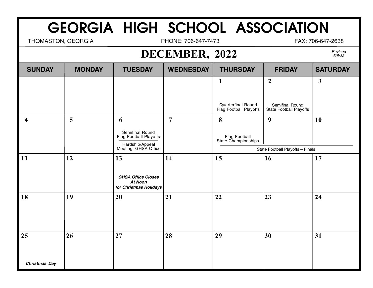THOMASTON, GEORGIA **PHONE: 706-647-7473** FAX: 706-647-2638

#### **DECEMBER, 2022**

| <b>SUNDAY</b>        | <b>MONDAY</b>           | <b>TUESDAY</b>                                                                       | <b>WEDNESDAY</b> | <b>THURSDAY</b>                                            | <b>FRIDAY</b>                              | <b>SATURDAY</b> |
|----------------------|-------------------------|--------------------------------------------------------------------------------------|------------------|------------------------------------------------------------|--------------------------------------------|-----------------|
|                      |                         |                                                                                      |                  | $\mathbf{1}$                                               | $\overline{2}$                             | $\mathbf{3}$    |
|                      |                         |                                                                                      |                  | <b>Quarterfinal Round</b><br><b>Flag Football Playoffs</b> | Semifinal Round<br>State Football Playoffs |                 |
| 4                    | $\overline{\mathbf{5}}$ | 6                                                                                    | $\overline{7}$   | 8                                                          | 9                                          | <b>10</b>       |
|                      |                         | Semifinal Round<br>Flag Football Playoffs<br>Hardship/Appeal<br>Meeting, GHSA Office |                  | Flag Football<br>State Championships                       |                                            |                 |
|                      |                         |                                                                                      |                  |                                                            | State Football Playoffs - Finals           |                 |
| 11                   | 12                      | 13<br><b>GHSA Office Closes</b><br><b>At Noon</b><br>for Christmas Holidays          | 14               | 15                                                         | 16                                         | 17              |
| 18                   | 19                      | 20                                                                                   | 21               | 22                                                         | 23                                         | 24              |
| 25                   | 26                      | 27                                                                                   | 28               | 29                                                         | 30                                         | 31              |
| <b>Christmas Day</b> |                         |                                                                                      |                  |                                                            |                                            |                 |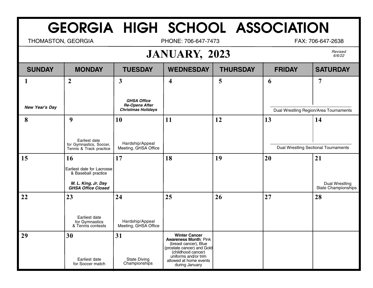THOMASTON, GEORGIA **PHONE: 706-647-7473** FAX: 706-647-2638

## **JANUARY, 2023**

| <b>SUNDAY</b>       | <b>MONDAY</b>                                                                                               | <b>TUESDAY</b>                                                                           | <b>WEDNESDAY</b>                                                                                                                                                                                      | <b>THURSDAY</b> | <b>FRIDAY</b> | <b>SATURDAY</b>                             |
|---------------------|-------------------------------------------------------------------------------------------------------------|------------------------------------------------------------------------------------------|-------------------------------------------------------------------------------------------------------------------------------------------------------------------------------------------------------|-----------------|---------------|---------------------------------------------|
| 1<br>New Year's Day | $\overline{2}$                                                                                              | $\mathbf{3}$<br><b>GHSA Office</b><br><b>Re-Opens After</b><br><b>Christmas Holidays</b> | $\overline{\mathbf{4}}$                                                                                                                                                                               | 5               | 6             | 7<br>Dual Wrestling Region/Area Tournaments |
| 8                   | 9<br>Earliest date<br>for Gymnastics, Soccer,<br>Tennis & Track practice                                    | 10<br>Hardship/Appeal<br>Meeting, GHSA Office                                            | 11                                                                                                                                                                                                    | 12              | 13            | 14<br>Dual Wrestling Sectional Tournaments  |
| 15                  | 16<br>Earliest date for Lacrosse<br>& Baseball practice<br>M. L. King, Jr. Day<br><b>GHSA Office Closed</b> | 17                                                                                       | 18                                                                                                                                                                                                    | 19              | 20            | 21<br>Dual Wrestling<br>State Championships |
| 22                  | 23<br>Earliest date<br>for Gymnastics<br>& Tennis contests                                                  | 24<br>Hardship/Appeal<br>Meeting, GHSA Office                                            | 25                                                                                                                                                                                                    | 26              | 27            | 28                                          |
| 29                  | 30<br>Earliest date<br>for Soccer match                                                                     | 31<br><b>State Diving</b><br>Championships                                               | <b>Winter Cancer</b><br><b>Awareness Month: Pink</b><br>(breast cancer), Blue<br>(prostate cancer) and Gold<br>(childhood cancer)<br>uniforms and/or trim<br>allowed at home events<br>during January |                 |               |                                             |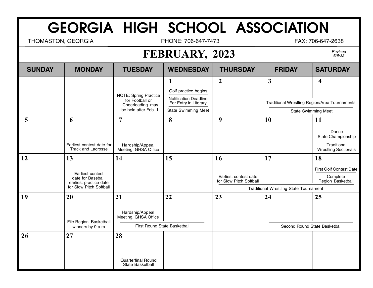THOMASTON, GEORGIA **PHONE: 706-647-7473** FAX: 706-647-2638

## **FEBRUARY, 2023**

| <b>SUNDAY</b> | <b>MONDAY</b>                                                          | <b>TUESDAY</b>                                                                              | <b>WEDNESDAY</b>                                                                                                            | <b>THURSDAY</b>                                        | <b>FRIDAY</b>                                                                                                 | <b>SATURDAY</b>                                                                        |  |
|---------------|------------------------------------------------------------------------|---------------------------------------------------------------------------------------------|-----------------------------------------------------------------------------------------------------------------------------|--------------------------------------------------------|---------------------------------------------------------------------------------------------------------------|----------------------------------------------------------------------------------------|--|
|               |                                                                        | <b>NOTE: Spring Practice</b><br>for Football or<br>Cheerleading may<br>be held after Feb. 1 | $\mathbf{1}$<br>Golf practice begins<br><b>Notification Deadline</b><br>For Entry in Literary<br><b>State Swimming Meet</b> | $\boldsymbol{2}$                                       | $\overline{\mathbf{3}}$<br><b>Traditional Wrestling Region/Area Tournaments</b><br><b>State Swimming Meet</b> | $\overline{\mathbf{4}}$                                                                |  |
|               |                                                                        |                                                                                             |                                                                                                                             |                                                        |                                                                                                               |                                                                                        |  |
| 5             | 6<br>Earliest contest date for<br><b>Track and Lacrosse</b>            | $\overline{7}$<br>Hardship/Appeal<br>Meeting, GHSA Office                                   | 8                                                                                                                           | 9                                                      | 10                                                                                                            | <b>11</b><br>Dance<br>State Championship<br>Traditional<br><b>Wrestling Sectionals</b> |  |
| 12            | 13<br>Earliest contest<br>date for Baseball;<br>earliest practice date | 14                                                                                          | 15                                                                                                                          | 16<br>Earliest contest date<br>for Slow Pitch Softball | 17                                                                                                            | 18<br><b>First Golf Contest Date</b><br>Complete<br>Region Basketball                  |  |
|               | for Slow Pitch Softball                                                |                                                                                             |                                                                                                                             |                                                        | <b>Traditional Wrestling State Tournament</b>                                                                 |                                                                                        |  |
| 19            | 20<br>File Region Basketball                                           | 21<br>Hardship/Appeal<br>Meeting, GHSA Office                                               | 22                                                                                                                          | 23                                                     | 24                                                                                                            | 25                                                                                     |  |
|               | winners by 9 a.m.                                                      | First Round State Basketball                                                                |                                                                                                                             |                                                        | Second Round State Basketball                                                                                 |                                                                                        |  |
| 26            | 27                                                                     | 28<br><b>Quarterfinal Round</b><br>State Basketball                                         |                                                                                                                             |                                                        |                                                                                                               |                                                                                        |  |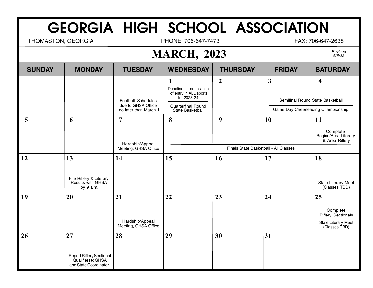THOMASTON, GEORGIA **PHONE: 706-647-7473** FAX: 706-647-2638

## **MARCH, 2023**

| <b>SUNDAY</b> | <b>MONDAY</b>                                                                        | <b>TUESDAY</b>                                                           | <b>WEDNESDAY</b>                                                                                                  | <b>THURSDAY</b>                            | <b>FRIDAY</b>                                                                          | <b>SATURDAY</b>                                                                     |
|---------------|--------------------------------------------------------------------------------------|--------------------------------------------------------------------------|-------------------------------------------------------------------------------------------------------------------|--------------------------------------------|----------------------------------------------------------------------------------------|-------------------------------------------------------------------------------------|
|               |                                                                                      | <b>Football Schedules</b><br>due to GHSA Office<br>no later than March 1 | 1<br>Deadline for notification<br>of entry in ALL sports<br>for 2023-24<br>Quarterfinal Round<br>State Basketball | $\overline{2}$                             | $\mathbf{3}$<br>Semifinal Round State Basketball<br>Game Day Cheerleading Championship | $\overline{\mathbf{4}}$                                                             |
| 5             | 6                                                                                    | $\overline{7}$<br>Hardship/Appeal<br>Meeting, GHSA Office                | 8                                                                                                                 | 9<br>Finals State Basketball - All Classes | 10                                                                                     | 11<br>Complete<br>Region/Area Literary<br>& Area Riflery                            |
| 12            | 13<br>File Riflery & Literary<br>Results with GHSA<br>by 9 a.m.                      | 14                                                                       | 15                                                                                                                | 16                                         | 17                                                                                     | 18<br>State Literary Meet<br>(Classes TBD)                                          |
| 19            | 20                                                                                   | 21<br>Hardship/Appeal<br>Meeting, GHSA Office                            | 22                                                                                                                | 23                                         | 24                                                                                     | 25<br>Complete<br><b>Riflery Sectionals</b><br>State Literary Meet<br>(Classes TBD) |
| 26            | 27<br><b>Report Riflery Sectional</b><br>Qualifiers to GHSA<br>and State Coordinator | 28                                                                       | 29                                                                                                                | 30                                         | 31                                                                                     |                                                                                     |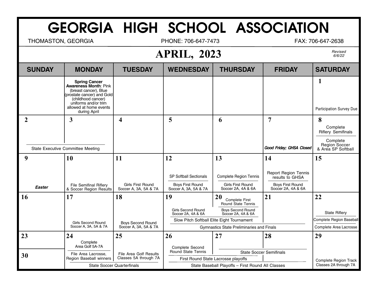THOMASTON, GEORGIA **PHONE: 706-647-7473** FAX: 706-647-2638

#### **APRIL, 2023**

| <b>SUNDAY</b>                     | <b>MONDAY</b>                                                                                                                                                                                       | <b>TUESDAY</b>                             | <b>WEDNESDAY</b>                                                           | <b>THURSDAY</b>                                                                 | <b>FRIDAY</b>                                                                                   | <b>SATURDAY</b>                                        |  |
|-----------------------------------|-----------------------------------------------------------------------------------------------------------------------------------------------------------------------------------------------------|--------------------------------------------|----------------------------------------------------------------------------|---------------------------------------------------------------------------------|-------------------------------------------------------------------------------------------------|--------------------------------------------------------|--|
|                                   | <b>Spring Cancer</b><br><b>Awareness Month: Pink</b><br>(breast cancer), Blue<br>(prostate cancer) and Gold<br>(childhood cancer)<br>uniforms and/or trim<br>allowed at home events<br>during April |                                            |                                                                            |                                                                                 |                                                                                                 | $\mathbf 1$<br>Participation Survey Due                |  |
| $\mathbf 2$                       | $\overline{\mathbf{3}}$                                                                                                                                                                             | $\overline{\mathbf{4}}$                    | 5                                                                          | 6                                                                               | 7                                                                                               | 8<br>Complete<br><b>Riflery Semifinals</b><br>Complete |  |
| State Executive Committee Meeting |                                                                                                                                                                                                     |                                            |                                                                            |                                                                                 | Good Friday; GHSA Closed                                                                        | Region Soccer<br>& Area SP Softball                    |  |
| 9                                 | 10                                                                                                                                                                                                  | 11                                         | 12                                                                         | 13                                                                              | 14                                                                                              | 15                                                     |  |
| <b>Easter</b>                     | File Semifinal Riflery<br>& Soccer Region Results                                                                                                                                                   | Girls First Round<br>Soccer A, 3A, 5A & 7A | <b>SP Softball Sectionals</b><br>Boys First Round<br>Soccer A, 3A, 5A & 7A | <b>Complete Region Tennis</b><br><b>Girls First Round</b><br>Soccer 2A, 4A & 6A | <b>Report Region Tennis</b><br>results to GHSA<br><b>Boys First Round</b><br>Soccer 2A, 4A & 6A |                                                        |  |
| 16                                | 17                                                                                                                                                                                                  | 18                                         | 19                                                                         | 20<br>Complete First                                                            | 21                                                                                              | 22                                                     |  |
|                                   |                                                                                                                                                                                                     |                                            | <b>Girls Second Round</b><br>Soccer 2A, 4A & 6A                            | <b>Round State Tennis</b><br><b>Boys Second Round</b><br>Soccer 2A, 4A & 6A     |                                                                                                 | <b>State Riflery</b>                                   |  |
| <b>Girls Second Round</b>         |                                                                                                                                                                                                     | Boys Second Round                          | Slow Pitch Softball Elite Eight Tournament                                 |                                                                                 |                                                                                                 | Complete Region Baseball                               |  |
|                                   | Soccer A, 3A, 5A & 7A                                                                                                                                                                               | Soccer A, 3A, 5A & 7A                      | Gymnastics State Preliminaries and Finals                                  |                                                                                 |                                                                                                 | Complete Area Lacrosse                                 |  |
| 23                                | 24                                                                                                                                                                                                  | 25                                         | 26                                                                         | 27                                                                              | 28                                                                                              | 29                                                     |  |
|                                   | Complete<br>Area Golf 5A-7A                                                                                                                                                                         |                                            | Complete Second                                                            |                                                                                 |                                                                                                 |                                                        |  |
| 30                                | File Area Lacrosse.                                                                                                                                                                                 | File Area Golf Results                     | Round State Tennis                                                         |                                                                                 | <b>State Soccer Semifinals</b>                                                                  |                                                        |  |
|                                   | Classes 5A through 7A<br>Region Baseball winners                                                                                                                                                    |                                            | First Round State Lacrosse playoffs                                        |                                                                                 |                                                                                                 | <b>Complete Region Track</b><br>Classes 2A through 7A  |  |
|                                   | <b>State Soccer Quarterfinals</b>                                                                                                                                                                   |                                            | State Baseball Playoffs - First Round All Classes                          |                                                                                 |                                                                                                 |                                                        |  |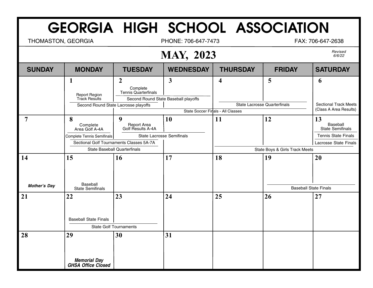THOMASTON, GEORGIA **PHONE: 706-647-7473** FAX: 706-647-2638

#### **MAY, 2023**

|                           | $\overline{\phantom{a}}$                                             |                                                                                   |                                                      |                                   |                              |                                                                                                         |  |  |
|---------------------------|----------------------------------------------------------------------|-----------------------------------------------------------------------------------|------------------------------------------------------|-----------------------------------|------------------------------|---------------------------------------------------------------------------------------------------------|--|--|
| <b>SUNDAY</b>             | <b>MONDAY</b>                                                        | <b>TUESDAY</b>                                                                    | <b>WEDNESDAY</b>                                     | <b>THURSDAY</b>                   | <b>FRIDAY</b>                | <b>SATURDAY</b>                                                                                         |  |  |
|                           | 1<br>Report Region<br>Track Results                                  | $\overline{2}$<br>Complete<br><b>Tennis Quarterfinals</b>                         | $\mathbf{3}$<br>Second Round State Baseball playoffs | $\overline{\mathbf{4}}$           | 5                            | 6                                                                                                       |  |  |
|                           |                                                                      | Second Round State Lacrosse playoffs                                              |                                                      | State Soccer Finals - All Classes | State Lacrosse Quarterfinals | <b>Sectional Track Meets</b><br>(Class A Area Results)                                                  |  |  |
| 7                         | 8<br>Complete<br>Area Golf A-4A<br><b>Complete Tennis Semifinals</b> | 9<br>Report Area<br>Golf Results A-4A<br>Sectional Golf Tournaments Classes 5A-7A | 10<br><b>State Lacrosse Semifinals</b>               | 11                                | 12                           | 13<br>Baseball<br><b>State Semifinals</b><br><b>Tennis State Finals</b><br><b>Lacrosse State Finals</b> |  |  |
|                           | <b>State Baseball Quarterfinals</b>                                  |                                                                                   |                                                      | State Boys & Girls Track Meets    |                              |                                                                                                         |  |  |
| 14<br><b>Mother's Day</b> | 15<br>Baseball                                                       | 16                                                                                | 17                                                   | 18                                | 19                           | 20                                                                                                      |  |  |
|                           | <b>State Semifinals</b>                                              |                                                                                   |                                                      |                                   | <b>Baseball State Finals</b> |                                                                                                         |  |  |
| 21                        | 22<br><b>Baseball State Finals</b>                                   | 23<br><b>State Golf Tournaments</b>                                               | 24                                                   | 25                                | 26                           | 27                                                                                                      |  |  |
| 28                        | 29<br>Memorial Day<br>GHSA Office Closed                             | 30                                                                                | 31                                                   |                                   |                              |                                                                                                         |  |  |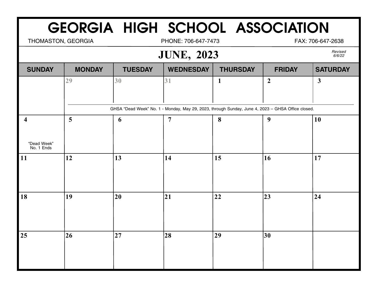THOMASTON, GEORGIA **PHONE: 706-647-7473** FAX: 706-647-2638

#### **JUNE, 2023**

Revised<br>6/6/22

| <b>SUNDAY</b>             | <b>MONDAY</b> | <b>TUESDAY</b>                                                                                    | <b>WEDNESDAY</b> | <b>THURSDAY</b> | <b>FRIDAY</b>    | <b>SATURDAY</b> |  |
|---------------------------|---------------|---------------------------------------------------------------------------------------------------|------------------|-----------------|------------------|-----------------|--|
|                           | 29            | 30                                                                                                | 31               | $\mathbf{1}$    | $\boldsymbol{2}$ | $\mathbf{3}$    |  |
|                           |               |                                                                                                   |                  |                 |                  |                 |  |
|                           |               | GHSA "Dead Week" No. 1 - Monday, May 29, 2023, through Sunday, June 4, 2023 - GHSA Office closed. |                  |                 |                  |                 |  |
| $\overline{\mathbf{4}}$   | 5             | 6                                                                                                 | $\overline{7}$   | 8               | $\boldsymbol{9}$ | 10              |  |
|                           |               |                                                                                                   |                  |                 |                  |                 |  |
| "Dead Week"<br>No. 1 Ends |               |                                                                                                   |                  |                 |                  |                 |  |
| 11                        | 12            | 13                                                                                                | $\vert$ 14       | 15              | 16               | 17              |  |
|                           |               |                                                                                                   |                  |                 |                  |                 |  |
|                           |               |                                                                                                   |                  |                 |                  |                 |  |
| 18                        | 19            | 20                                                                                                | 21               | 22              | 23               | 24              |  |
|                           |               |                                                                                                   |                  |                 |                  |                 |  |
|                           |               |                                                                                                   |                  |                 |                  |                 |  |
| 25                        | 26            | 27                                                                                                | 28               | 29              | 30 <sup>°</sup>  |                 |  |
|                           |               |                                                                                                   |                  |                 |                  |                 |  |
|                           |               |                                                                                                   |                  |                 |                  |                 |  |
|                           |               |                                                                                                   |                  |                 |                  |                 |  |